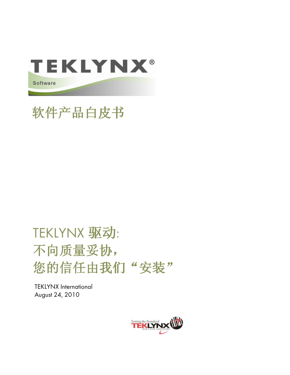

# 软件产品白皮书

# TEKLYNX 驱动: 不向质量妥协, 您的信任由我们"安装"

**TEKLYNX International** August 24, 2010

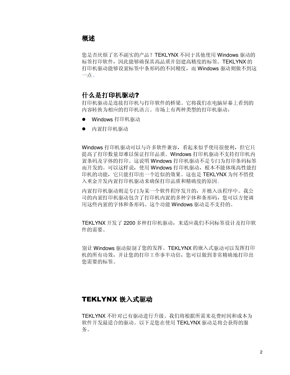## 概述

您是否厌烦了名不副实的产品? TEKLYNX 不同于其他使用 Windows 驱动的 标签打印软件, 因此能够确保其高品质并创建高精度的标签。TEKLYNX 的 打印机驱动能够设置标签中条形码的不同精度,而 Windows 驱动则做不到这 一点。

## 什么是打印机驱动?

打印机驱动是连接打印机与打印软件的桥梁。它将我们在电脑屏幕上看到的 内容转换为相应的打印机语言。市场上有两种类型的打印机驱动:

- Windows 打印机驱动
- 内置打印机驱动

Windows 打印机驱动可以与许多软件兼容, 看起来似乎使用很便利, 但它只 提高了打印数量却难以保证打印品质。Windows 打印机驱动不支持打印机内 置条码及字体的打印。这说明 Windows 打印机驱动不是专门为打印条码标签 而开发的。可以这样说,使用 Windows 打印机驱动,根本不能体现高性能打 印机的功能, 它只能打印出一个近似的效果。这也是 TEKLYNX 为何不惜投 入重金开发内置打印机驱动来确保打印品质和精确度的原因。

内置打印机驱动则是专门为某一个软件程序发开的,并植入该程序中。我公 司的内置打印机驱动包含了打印机内置的多种字体和条形码, 您可以方便调 用这些内置的字体和条形码。这个功能 Windows 驱动是不支持的。

TEKLYNX 开发了 2200 多种打印机驱动, 来适应我们不同标签设计及打印软 件的需要。

别让 Windows 驱动限制了您的发挥。TEKLYNX 的嵌入式驱动可以发挥打印 机的所有功效,并让您的打印工作事半功倍, 您可以做到非常精确地打印出 您需要的标签。

## TEKLYNX 嵌入式驱动

TEKLYNX 不针对已有驱动进行升级。我们将根据所需来花费时间和成本为 软件开发最适合的驱动。以下是您在使用TEKLYNX 驱动是将会获得的服 务。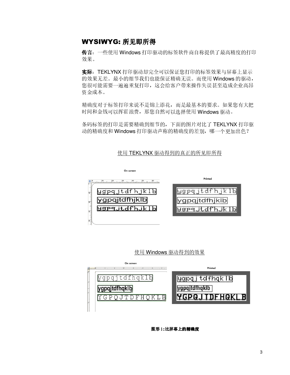## WYSIWYG: 所见即所得

传言: 一些使用 Windows 打印驱动的标签软件商自称提供了最高精度的打印 效果。

实际: TEKLYNX 打印驱动却完全可以保证您打印的标签效果与屏幕上显示 的效果无差。最小的细节我们也能保证精确无误。而使用 Windows 的驱动, 您很可能需要一遍遍重复打印, 这会给客户带来操作失误甚至造成企业高昂 资金成本。

精确度对于标签打印来说不是锦上添花,而是最基本的要求。如果您有大把 时间和金钱可以挥霍浪费, 那您自然可以选择使用 Windows 驱动。

条码标签的打印是需要精确到细节的,下面的图片对比了TEKLYNX打印驱 动的精确度和 Windows 打印驱动声称的精确度的差别, 哪一个更加出色?

#### 使用 TEKLYNX 驱动得到的真正的所见即所得



使用 Windows 驱动得到的效果



图形1:比屏幕上的精确度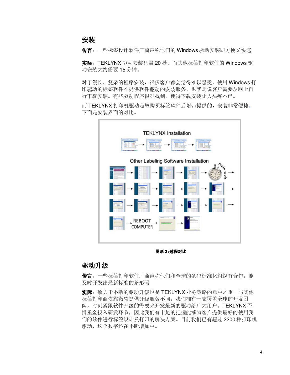安装

传言: 一些标签设计软件厂商声称他们的 Windows 驱动安装即方便又快速

实际: TEKLYNX 驱动安装只需 20 秒。而其他标签打印软件的 Windows 驱 动安装大约需要 15分钟。

对于漫长、复杂的程序安装,很多客户都会觉得难以忍受。使用 Windows 打 印驱动的标签软件不提供软件驱动的安装服务, 也就是说客户需要从网上自 行下载安装。有些驱动程序很难找到, 使得下载安装让人头疼不已。

而 TEKLYNX 打印机驱动是您购买标签软件后附带提供的, 安装非常便捷。 下面是安装界面的对比。



图形2:过程对比

#### 驱动升级

传言: 一些标签打印软件厂商声称他们和全球的条码标准化组织有合作, 能 及时开发出最新标准的条形码

实际:致力于不断的驱动升级也是 TEKLYNX 业务策略的重中之重。与其他 标签打印商依靠微软提供升级服务不同,我们拥有一支覆盖全球的开发团 队, 时刻紧跟软件升级的需要来开发最新的驱动给广大用户。TEKLYNX 不 惜重金投入研发环节, 因此我们有十足的把握能够为客户提供最好的使用我 们的软件进行标签设计及打印的解决方案。目前我们已有超过2200种打印机 驱动, 这个数字还在不断增加中。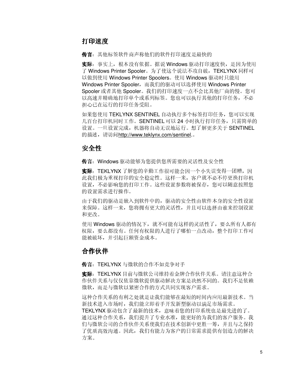## 打印速度

传言: 其他标签软件商声称他们的软件打印速度是最快的

实际:事实上,根本没有依据。据说 Windows 驱动打印速度快, 是因为使用 了 Windows Printer Spooler。为了使这个说法不攻自破, TEKLYNX 同样可 以做到使用 Windows Printer Spoolers。使用 Windows 驱动时只能用 Windows Printer Spooler, 而我们的驱动可以选择使用 Windows Printer Spooler 或者其他 Spooler。我们的打印速度一点不会比其他厂商的慢。您可 以高速并精确地打印单个或系列标签。您也可以执行其他的打印任务,不必 担心已在运行的打印仟务受阻。

如果您使用 TEKLYNX SENTINEL 自动执行多个标签打印任务, 您可以实现 几百台打印机同时工作。SENTINEL 可以 24 小时执行打印任务, 只需简单的 设置。一旦设置完成, 机器将自动无误地运行。想了解更多关于 SENTINEL 的描述, 请访问http://www.teklvnx.com/sentinel.。

## 安全性

传言: Windows 驱动能够为您提供您所需要的灵活性及安全性

实际: TEKLYNX 了解您的辛勤工作很可能会因一个小失误变得一团糟, 因 此我们极为重视打印的安全稳定性。这样一来, 客户就不必不停更换打印机 设置,不必影响您的打印工作。这些设置参数将被保存, 您可以随意按照您 的设置需求进行操作。

由于我们的驱动是嵌入到软件中的,驱动的安全性由软件本身的安全性设置 来保障。这样一来, 您将拥有更大的灵活性, 并且可以选择由谁来控制设置 和更改。

使用 Windows 驱动的情况下, 就不可能有这样的灵活性了, 要么所有人都有 权限,要么都没有。任何有权限的人进行了哪怕一点改动,整个打印工作可 能被破坏, 并引起巨额资金成本。

## 合作伙伴

传言: TEKLYNX 与微软的合作不如竞争对手

实际: TEKLYNX 目前与微软公司维持着金牌合作伙伴关系。请注意这种合 作伙伴关系与仅仅依靠微软提供驱动解决方案是决然不同的。我们不是依赖 微软,而是与微软以紧密合作的方式共同实现客户需求。

这种合作关系的有利之处就是让我们能够在最短的时间内应用最新技术。当 新技术进入市场时, 我们能立即着手开发新型驱动以满足市场需求。

TEKLYNX 驱动包含了最新的技术, 意味着您的打印系统也是最先进的了。 通过这种合作关系,我们提升了专业水准,能更好的为我们的客户服务。我 们与微软公司的合作伙伴关系使我们在技术创新中更胜一筹,并且与之保持 了优质高效沟通。因此, 我们有能力为客户的日常需求提供有创造力的解决 方案。